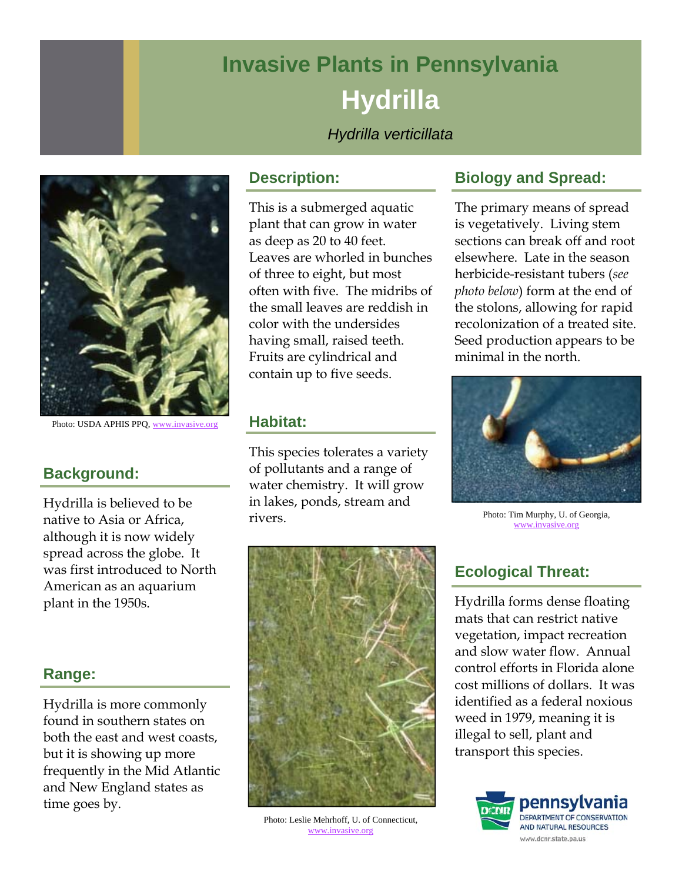# **Invasive Plants in Pennsylvania Hydrilla**

*Hydrilla verticillata* 



Photo: USDA APHIS PPQ, www.invasive.org

# **Background:**

Hydrilla is believed to be native to Asia or Africa, although it is now widely spread across the globe. It was first introduced to North American as an aquarium plant in the 1950s.

## **Range:**

Hydrilla is more commonly found in southern states on both the east and west coasts, but it is showing up more frequently in the Mid Atlantic and New England states as time goes by.

### **Description:**

This is a submerged aquatic plant that can grow in water as deep as 20 to 40 feet. Leaves are whorled in bunches of three to eight, but most often with five. The midribs of the small leaves are reddish in color with the undersides having small, raised teeth. Fruits are cylindrical and contain up to five seeds.

## **Habitat:**

This species tolerates a variety of pollutants and a range of water chemistry. It will grow in lakes, ponds, stream and rivers.



Photo: Leslie Mehrhoff, U. of Connecticut, www.invasive.org

# **Biology and Spread:**

The primary means of spread is vegetatively. Living stem sections can break off and root elsewhere. Late in the season herbicide-resistant tubers (*see photo below*) form at the end of the stolons, allowing for rapid recolonization of a treated site. Seed production appears to be minimal in the north.



Photo: Tim Murphy, U. of Georgia, www.invasive.org

# **Ecological Threat:**

Hydrilla forms dense floating mats that can restrict native vegetation, impact recreation and slow water flow. Annual control efforts in Florida alone cost millions of dollars. It was identified as a federal noxious weed in 1979, meaning it is illegal to sell, plant and transport this species.